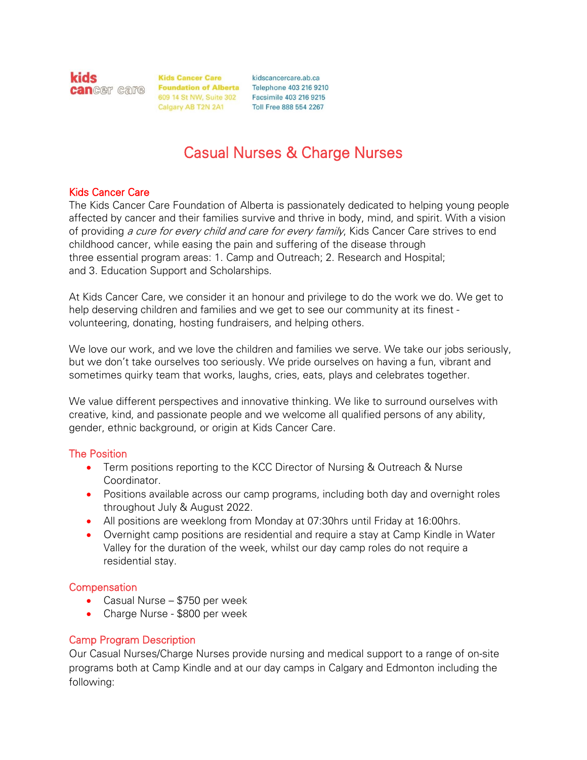kids

**Kids Cancer Care Can**Ger care Foundation of Alberta Telephone 403 216 9210 609 14 St NW, Suite 302 Facsimile 403 216 9215 Calgary AB T2N 2A1

kidscancercare.ab.ca Toll Free 888 554 2267

# Casual Nurses & Charge Nurses

#### Kids Cancer Care

The Kids Cancer Care Foundation of Alberta is passionately dedicated to helping young people affected by cancer and their families survive and thrive in body, mind, and spirit. With a vision of providing a cure for every child and care for every family, Kids Cancer Care strives to end childhood cancer, while easing the pain and suffering of the disease through three essential program areas: 1. Camp and Outreach; 2. Research and Hospital; and 3. Education Support and Scholarships.

At Kids Cancer Care, we consider it an honour and privilege to do the work we do. We get to help deserving children and families and we get to see our community at its finest volunteering, donating, hosting fundraisers, and helping others.

We love our work, and we love the children and families we serve. We take our jobs seriously, but we don't take ourselves too seriously. We pride ourselves on having a fun, vibrant and sometimes quirky team that works, laughs, cries, eats, plays and celebrates together.

We value different perspectives and innovative thinking. We like to surround ourselves with creative, kind, and passionate people and we welcome all qualified persons of any ability, gender, ethnic background, or origin at Kids Cancer Care.

#### The Position

- Term positions reporting to the KCC Director of Nursing & Outreach & Nurse Coordinator.
- Positions available across our camp programs, including both day and overnight roles throughout July & August 2022.
- All positions are weeklong from Monday at 07:30hrs until Friday at 16:00hrs.
- Overnight camp positions are residential and require a stay at Camp Kindle in Water Valley for the duration of the week, whilst our day camp roles do not require a residential stay.

#### **Compensation**

- Casual Nurse \$750 per week
- Charge Nurse \$800 per week

#### Camp Program Description

Our Casual Nurses/Charge Nurses provide nursing and medical support to a range of on-site programs both at Camp Kindle and at our day camps in Calgary and Edmonton including the following: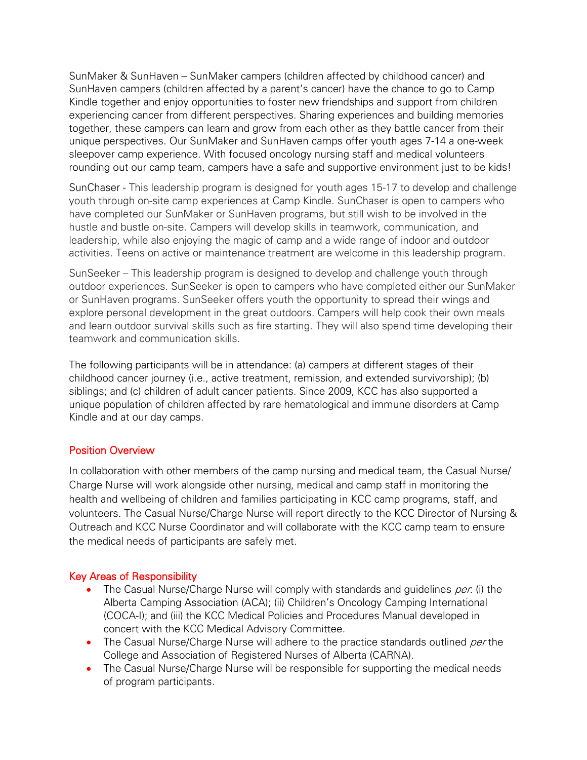SunMaker & SunHaven – SunMaker campers (children affected by childhood cancer) and SunHaven campers (children affected by a parent's cancer) have the chance to go to Camp Kindle together and enjoy opportunities to foster new friendships and support from children experiencing cancer from different perspectives. Sharing experiences and building memories together, these campers can learn and grow from each other as they battle cancer from their unique perspectives. Our SunMaker and SunHaven camps offer youth ages 7-14 a one-week sleepover camp experience. With focused oncology nursing staff and medical volunteers rounding out our camp team, campers have a safe and supportive environment just to be kids!

SunChaser - This leadership program is designed for youth ages 15-17 to develop and challenge youth through on-site camp experiences at Camp Kindle. SunChaser is open to campers who have completed our SunMaker or SunHaven programs, but still wish to be involved in the hustle and bustle on-site. Campers will develop skills in teamwork, communication, and leadership, while also enjoying the magic of camp and a wide range of indoor and outdoor activities. Teens on active or maintenance treatment are welcome in this leadership program.

SunSeeker – This leadership program is designed to develop and challenge youth through outdoor experiences. SunSeeker is open to campers who have completed either our SunMaker or SunHaven programs. SunSeeker offers youth the opportunity to spread their wings and explore personal development in the great outdoors. Campers will help cook their own meals and learn outdoor survival skills such as fire starting. They will also spend time developing their teamwork and communication skills.

The following participants will be in attendance: (a) campers at different stages of their childhood cancer journey (i.e., active treatment, remission, and extended survivorship); (b) siblings; and (c) children of adult cancer patients. Since 2009, KCC has also supported a unique population of children affected by rare hematological and immune disorders at Camp Kindle and at our day camps.

#### Position Overview

In collaboration with other members of the camp nursing and medical team, the Casual Nurse/ Charge Nurse will work alongside other nursing, medical and camp staff in monitoring the health and wellbeing of children and families participating in KCC camp programs, staff, and volunteers. The Casual Nurse/Charge Nurse will report directly to the KCC Director of Nursing & Outreach and KCC Nurse Coordinator and will collaborate with the KCC camp team to ensure the medical needs of participants are safely met.

#### Key Areas of Responsibility

- The Casual Nurse/Charge Nurse will comply with standards and quidelines  $per$  (i) the Alberta Camping Association (ACA); (ii) Children's Oncology Camping International (COCA-I); and (iii) the KCC Medical Policies and Procedures Manual developed in concert with the KCC Medical Advisory Committee.
- The Casual Nurse/Charge Nurse will adhere to the practice standards outlined per the College and Association of Registered Nurses of Alberta (CARNA).
- The Casual Nurse/Charge Nurse will be responsible for supporting the medical needs of program participants.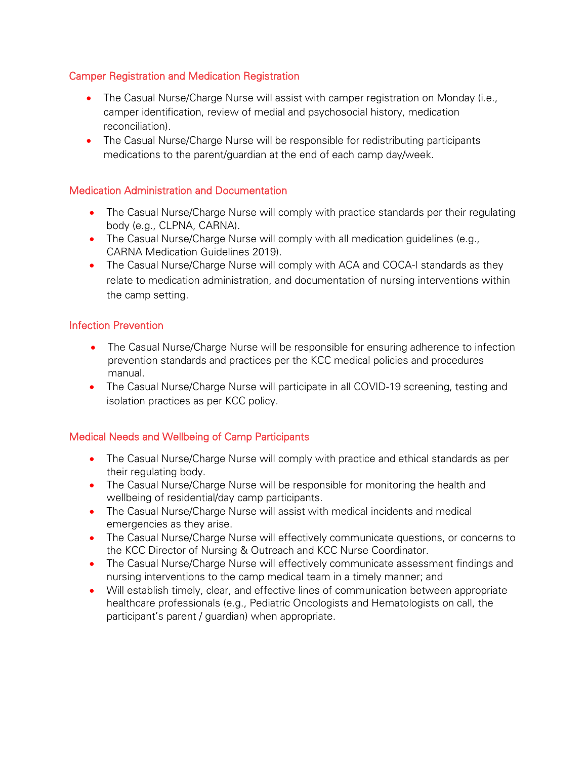## Camper Registration and Medication Registration

- The Casual Nurse/Charge Nurse will assist with camper registration on Monday (i.e., camper identification, review of medial and psychosocial history, medication reconciliation).
- The Casual Nurse/Charge Nurse will be responsible for redistributing participants medications to the parent/guardian at the end of each camp day/week.

## Medication Administration and Documentation

- The Casual Nurse/Charge Nurse will comply with practice standards per their regulating body (e.g., CLPNA, CARNA).
- The Casual Nurse/Charge Nurse will comply with all medication guidelines (e.g., CARNA Medication Guidelines 2019).
- The Casual Nurse/Charge Nurse will comply with ACA and COCA-I standards as they relate to medication administration, and documentation of nursing interventions within the camp setting.

## Infection Prevention

- The Casual Nurse/Charge Nurse will be responsible for ensuring adherence to infection prevention standards and practices per the KCC medical policies and procedures manual.
- The Casual Nurse/Charge Nurse will participate in all COVID-19 screening, testing and isolation practices as per KCC policy.

## Medical Needs and Wellbeing of Camp Participants

- The Casual Nurse/Charge Nurse will comply with practice and ethical standards as per their regulating body.
- The Casual Nurse/Charge Nurse will be responsible for monitoring the health and wellbeing of residential/day camp participants.
- The Casual Nurse/Charge Nurse will assist with medical incidents and medical emergencies as they arise.
- The Casual Nurse/Charge Nurse will effectively communicate questions, or concerns to the KCC Director of Nursing & Outreach and KCC Nurse Coordinator.
- The Casual Nurse/Charge Nurse will effectively communicate assessment findings and nursing interventions to the camp medical team in a timely manner; and
- Will establish timely, clear, and effective lines of communication between appropriate healthcare professionals (e.g., Pediatric Oncologists and Hematologists on call, the participant's parent / guardian) when appropriate.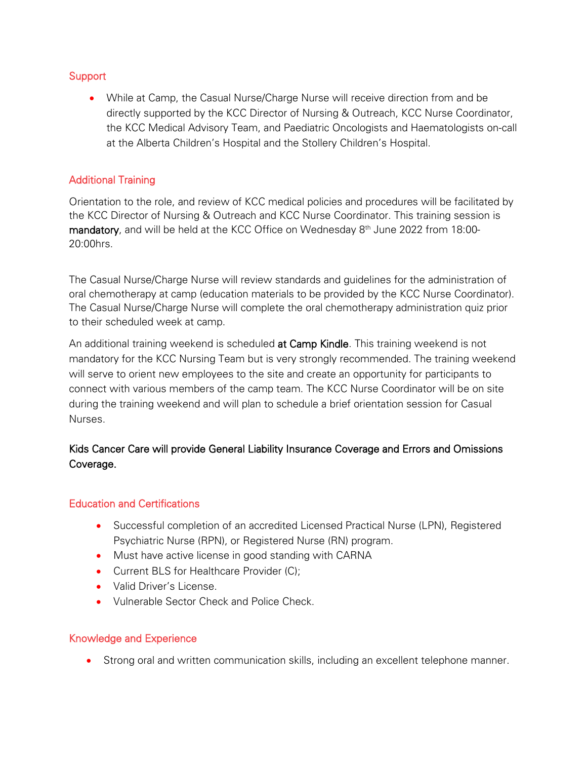## **Support**

• While at Camp, the Casual Nurse/Charge Nurse will receive direction from and be directly supported by the KCC Director of Nursing & Outreach, KCC Nurse Coordinator, the KCC Medical Advisory Team, and Paediatric Oncologists and Haematologists on-call at the Alberta Children's Hospital and the Stollery Children's Hospital.

## Additional Training

Orientation to the role, and review of KCC medical policies and procedures will be facilitated by the KCC Director of Nursing & Outreach and KCC Nurse Coordinator. This training session is **mandatory**, and will be held at the KCC Office on Wednesday  $8<sup>th</sup>$  June 2022 from 18:00-20:00hrs.

The Casual Nurse/Charge Nurse will review standards and guidelines for the administration of oral chemotherapy at camp (education materials to be provided by the KCC Nurse Coordinator). The Casual Nurse/Charge Nurse will complete the oral chemotherapy administration quiz prior to their scheduled week at camp.

An additional training weekend is scheduled at Camp Kindle. This training weekend is not mandatory for the KCC Nursing Team but is very strongly recommended. The training weekend will serve to orient new employees to the site and create an opportunity for participants to connect with various members of the camp team. The KCC Nurse Coordinator will be on site during the training weekend and will plan to schedule a brief orientation session for Casual Nurses.

# Kids Cancer Care will provide General Liability Insurance Coverage and Errors and Omissions Coverage.

## Education and Certifications

- Successful completion of an accredited Licensed Practical Nurse (LPN), Registered Psychiatric Nurse (RPN), or Registered Nurse (RN) program.
- Must have active license in good standing with CARNA
- Current BLS for Healthcare Provider (C);
- Valid Driver's License.
- Vulnerable Sector Check and Police Check.

## Knowledge and Experience

• Strong oral and written communication skills, including an excellent telephone manner.